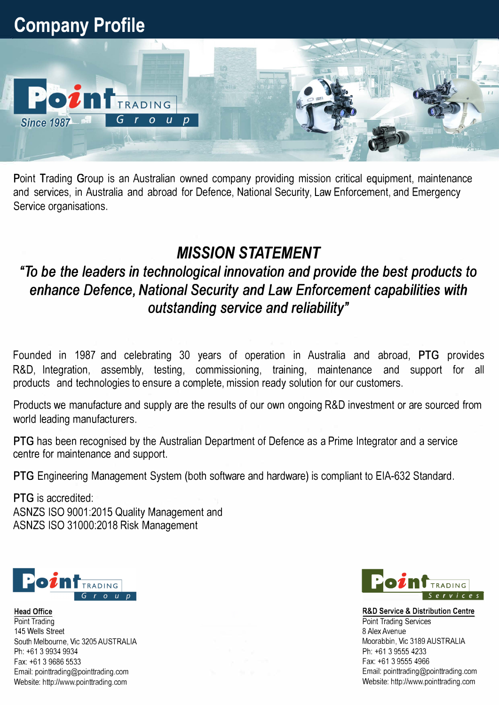

Point Trading Group is an Australian owned company providing mission critical equipment, maintenance and services, in Australia and abroad for Defence, National Security, Law Enforcement, and Emergency Service organisations.

## *MISSION STATEMENT*

## *"To be the leaders in technological innovation and provide the best products to enhance Defence, National Security and Law Enforcement capabilities with outstanding service and reliability"*

Founded in 1987 and celebrating 30 years of operation in Australia and abroad, **PTG** provides R&D, Integration, assembly, testing, commissioning, training, maintenance and support for all products and technologies to ensure a complete, mission ready solution for our customers.

Products we manufacture and supply are the results of our own ongoing R&D investment or are sourced from world leading manufacturers.

**PTG** has been recognised by the Australian Department of Defence as a Prime Integrator and a service centre for maintenance and support.

**PTG** Engineering Management System (both software and hardware) is compliant to EIA-632 Standard.

**PTG** is accredited: ASNZS ISO 9001 :2015 Quality Management and ASNZS ISO 31000:2018 Risk Management



Head Office Point Trading 145 Wells Street South Melbourne, Vic 3205 AUSTRALIA Ph: +61 3 9934 9934 Fax: +61 3 9686 5533 Email: pointtrading@pointtrading.com Website: http://www.pointtrading.com



R&D Service & Distribution Centre Point Trading Services 8 Alex Avenue Moorabbin, Vic 3189 AUSTRALIA Ph: +61 3 9555 4233 Fax: +61 3 9555 4966 Email: pointtrading@pointtrading.com Website: http://www.pointtrading.com